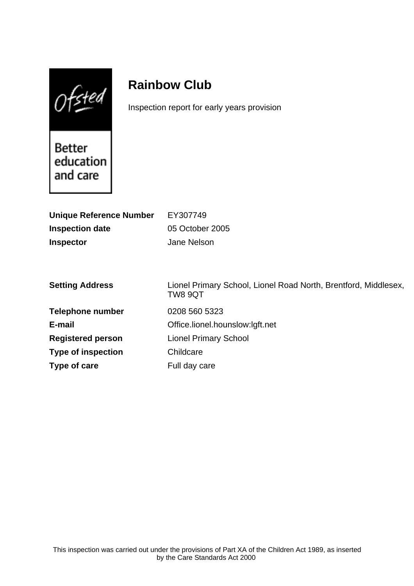$0$ fsted

# **Rainbow Club**

Inspection report for early years provision

Better education and care

| <b>Unique Reference Number</b><br><b>Inspection date</b><br><b>Inspector</b> | EY307749<br>05 October 2005<br>Jane Nelson                                 |
|------------------------------------------------------------------------------|----------------------------------------------------------------------------|
| <b>Setting Address</b>                                                       | Lionel Primary School, Lionel Road North, Brentford, Middlesex,<br>TW8 9QT |
| <b>Telephone number</b>                                                      | 0208 560 5323                                                              |
| E-mail                                                                       | Office.lionel.hounslow:lgft.net                                            |
| <b>Registered person</b>                                                     | <b>Lionel Primary School</b>                                               |
| <b>Type of inspection</b>                                                    | Childcare                                                                  |
| Type of care                                                                 | Full day care                                                              |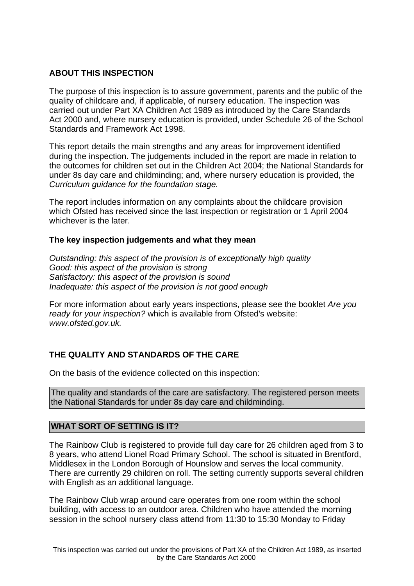## **ABOUT THIS INSPECTION**

The purpose of this inspection is to assure government, parents and the public of the quality of childcare and, if applicable, of nursery education. The inspection was carried out under Part XA Children Act 1989 as introduced by the Care Standards Act 2000 and, where nursery education is provided, under Schedule 26 of the School Standards and Framework Act 1998.

This report details the main strengths and any areas for improvement identified during the inspection. The judgements included in the report are made in relation to the outcomes for children set out in the Children Act 2004; the National Standards for under 8s day care and childminding; and, where nursery education is provided, the Curriculum guidance for the foundation stage.

The report includes information on any complaints about the childcare provision which Ofsted has received since the last inspection or registration or 1 April 2004 whichever is the later.

## **The key inspection judgements and what they mean**

Outstanding: this aspect of the provision is of exceptionally high quality Good: this aspect of the provision is strong Satisfactory: this aspect of the provision is sound Inadequate: this aspect of the provision is not good enough

For more information about early years inspections, please see the booklet Are you ready for your inspection? which is available from Ofsted's website: www.ofsted.gov.uk.

# **THE QUALITY AND STANDARDS OF THE CARE**

On the basis of the evidence collected on this inspection:

The quality and standards of the care are satisfactory. The registered person meets the National Standards for under 8s day care and childminding.

## **WHAT SORT OF SETTING IS IT?**

The Rainbow Club is registered to provide full day care for 26 children aged from 3 to 8 years, who attend Lionel Road Primary School. The school is situated in Brentford, Middlesex in the London Borough of Hounslow and serves the local community. There are currently 29 children on roll. The setting currently supports several children with English as an additional language.

The Rainbow Club wrap around care operates from one room within the school building, with access to an outdoor area. Children who have attended the morning session in the school nursery class attend from 11:30 to 15:30 Monday to Friday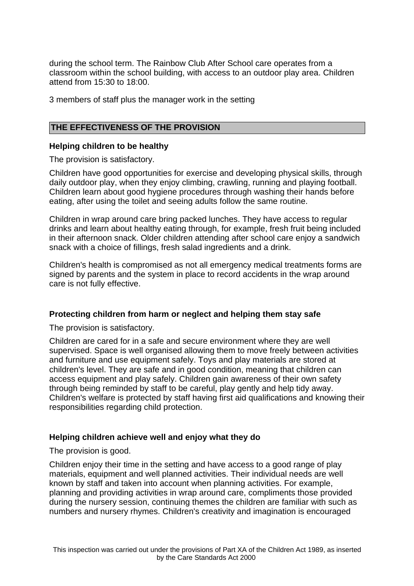during the school term. The Rainbow Club After School care operates from a classroom within the school building, with access to an outdoor play area. Children attend from 15:30 to 18:00.

3 members of staff plus the manager work in the setting

### **THE EFFECTIVENESS OF THE PROVISION**

#### **Helping children to be healthy**

The provision is satisfactory.

Children have good opportunities for exercise and developing physical skills, through daily outdoor play, when they enjoy climbing, crawling, running and playing football. Children learn about good hygiene procedures through washing their hands before eating, after using the toilet and seeing adults follow the same routine.

Children in wrap around care bring packed lunches. They have access to regular drinks and learn about healthy eating through, for example, fresh fruit being included in their afternoon snack. Older children attending after school care enjoy a sandwich snack with a choice of fillings, fresh salad ingredients and a drink.

Children's health is compromised as not all emergency medical treatments forms are signed by parents and the system in place to record accidents in the wrap around care is not fully effective.

## **Protecting children from harm or neglect and helping them stay safe**

The provision is satisfactory.

Children are cared for in a safe and secure environment where they are well supervised. Space is well organised allowing them to move freely between activities and furniture and use equipment safely. Toys and play materials are stored at children's level. They are safe and in good condition, meaning that children can access equipment and play safely. Children gain awareness of their own safety through being reminded by staff to be careful, play gently and help tidy away. Children's welfare is protected by staff having first aid qualifications and knowing their responsibilities regarding child protection.

#### **Helping children achieve well and enjoy what they do**

The provision is good.

Children enjoy their time in the setting and have access to a good range of play materials, equipment and well planned activities. Their individual needs are well known by staff and taken into account when planning activities. For example, planning and providing activities in wrap around care, compliments those provided during the nursery session, continuing themes the children are familiar with such as numbers and nursery rhymes. Children's creativity and imagination is encouraged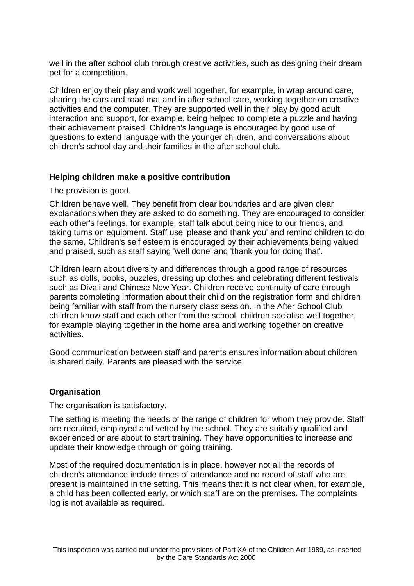well in the after school club through creative activities, such as designing their dream pet for a competition.

Children enjoy their play and work well together, for example, in wrap around care, sharing the cars and road mat and in after school care, working together on creative activities and the computer. They are supported well in their play by good adult interaction and support, for example, being helped to complete a puzzle and having their achievement praised. Children's language is encouraged by good use of questions to extend language with the younger children, and conversations about children's school day and their families in the after school club.

## **Helping children make a positive contribution**

The provision is good.

Children behave well. They benefit from clear boundaries and are given clear explanations when they are asked to do something. They are encouraged to consider each other's feelings, for example, staff talk about being nice to our friends, and taking turns on equipment. Staff use 'please and thank you' and remind children to do the same. Children's self esteem is encouraged by their achievements being valued and praised, such as staff saying 'well done' and 'thank you for doing that'.

Children learn about diversity and differences through a good range of resources such as dolls, books, puzzles, dressing up clothes and celebrating different festivals such as Divali and Chinese New Year. Children receive continuity of care through parents completing information about their child on the registration form and children being familiar with staff from the nursery class session. In the After School Club children know staff and each other from the school, children socialise well together, for example playing together in the home area and working together on creative activities.

Good communication between staff and parents ensures information about children is shared daily. Parents are pleased with the service.

## **Organisation**

The organisation is satisfactory.

The setting is meeting the needs of the range of children for whom they provide. Staff are recruited, employed and vetted by the school. They are suitably qualified and experienced or are about to start training. They have opportunities to increase and update their knowledge through on going training.

Most of the required documentation is in place, however not all the records of children's attendance include times of attendance and no record of staff who are present is maintained in the setting. This means that it is not clear when, for example, a child has been collected early, or which staff are on the premises. The complaints log is not available as required.